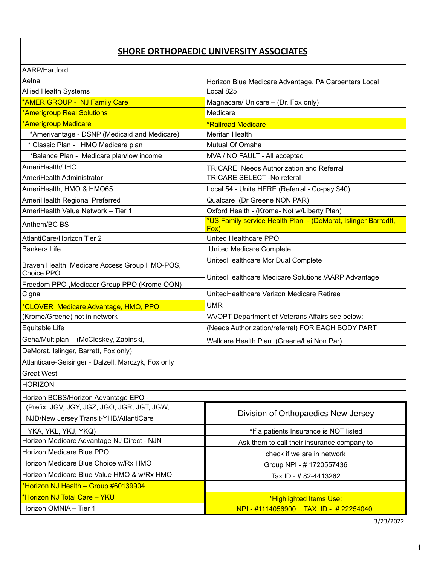## **SHORE ORTHOPAEDIC UNIVERSITY ASSOCIATES**

| AARP/Hartford                                      |                                                                       |
|----------------------------------------------------|-----------------------------------------------------------------------|
| Aetna                                              | Horizon Blue Medicare Advantage. PA Carpenters Local                  |
| <b>Allied Health Systems</b>                       | Local 825                                                             |
| *AMERIGROUP - NJ Family Care                       | Magnacare/ Unicare - (Dr. Fox only)                                   |
| *Amerigroup Real Solutions                         | Medicare                                                              |
| *Amerigroup Medicare                               | <b>*Railroad Medicare</b>                                             |
| *Amerivantage - DSNP (Medicaid and Medicare)       | <b>Meritan Health</b>                                                 |
| * Classic Plan - HMO Medicare plan                 | Mutual Of Omaha                                                       |
| *Balance Plan - Medicare plan/low income           | MVA / NO FAULT - All accepted                                         |
| AmeriHealth/ IHC                                   | <b>TRICARE Needs Authorization and Referral</b>                       |
| AmeriHealth Administrator                          | <b>TRICARE SELECT -No referal</b>                                     |
| AmeriHealth, HMO & HMO65                           | Local 54 - Unite HERE (Referral - Co-pay \$40)                        |
| AmeriHealth Regional Preferred                     | Qualcare (Dr Greene NON PAR)                                          |
| AmeriHealth Value Network - Tier 1                 | Oxford Health - (Krome- Not w/Liberty Plan)                           |
| Anthem/BC BS                                       | *US Family service Health Plan - (DeMorat, Islinger Barredtt,<br>Fox) |
| AtlantiCare/Horizon Tier 2                         | United Healthcare PPO                                                 |
| <b>Bankers Life</b>                                | United Medicare Complete                                              |
| Braven Health Medicare Access Group HMO-POS,       | UnitedHealthcare Mcr Dual Complete                                    |
| Choice PPO                                         | UnitedHealthcare Medicare Solutions /AARP Advantage                   |
| Freedom PPO, Medicaer Group PPO (Krome OON)        |                                                                       |
| Cigna                                              | UnitedHealthcare Verizon Medicare Retiree                             |
| *CLOVER Medicare Advantage, HMO, PPO               | <b>UMR</b>                                                            |
| (Krome/Greene) not in network                      | VA/OPT Department of Veterans Affairs see below:                      |
| Equitable Life                                     | (Needs Authorization/referral) FOR EACH BODY PART                     |
| Geha/Multiplan - (McCloskey, Zabinski,             | Wellcare Health Plan (Greene/Lai Non Par)                             |
| DeMorat, Islinger, Barrett, Fox only)              |                                                                       |
| Atlanticare-Geisinger - Dalzell, Marczyk, Fox only |                                                                       |
| <b>Great West</b>                                  |                                                                       |
| <b>HORIZON</b>                                     |                                                                       |
| Horizon BCBS/Horizon Advantage EPO -               |                                                                       |
| (Prefix: JGV, JGY, JGZ, JGO, JGR, JGT, JGW,        | Division of Orthopaedics New Jersey                                   |
| NJD/New Jersey Transit-YHB/AtlantiCare             |                                                                       |
| YKA, YKL, YKJ, YKQ)                                | *If a patients Insurance is NOT listed                                |
| Horizon Medicare Advantage NJ Direct - NJN         | Ask them to call their insurance company to                           |
| Horizon Medicare Blue PPO                          | check if we are in network                                            |
| Horizon Medicare Blue Choice w/Rx HMO              | Group NPI - #1720557436                                               |
| Horizon Medicare Blue Value HMO & w/Rx HMO         | Tax ID - # 82-4413262                                                 |
| *Horizon NJ Health - Group #60139904               |                                                                       |
| *Horizon NJ Total Care - YKU                       | *Highlighted Items Use:                                               |
| Horizon OMNIA - Tier 1                             | NPI - #1114056900 TAX ID - #22254040                                  |

3/23/2022